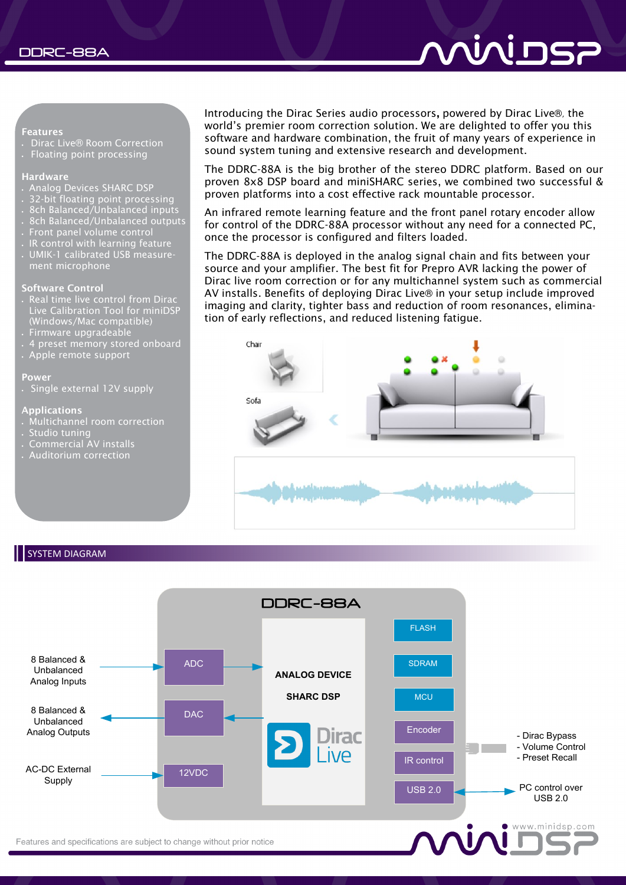#### **Features**

- Dirac Live® Room Correction
- Floating point processing

#### **Hardware**

- Analog Devices SHARC DSP
- 32-bit floating point processing
- 8ch Balanced/Unbalanced inputs
- 8ch Balanced/Unbalanced outputs
- Front panel volume control
- IR control with learning feature
- UMIK-1 calibrated USB measurement microphone

#### **Software Control**

- Real time live control from Dirac Live Calibration Tool for miniDSP (Windows/Mac compatible) Firmware upgradeable
- 
- 4 preset memory stored onboard
- Apple remote support

#### **Power**

Single external 12V supply

#### **Applications**

- Multichannel room correction
- Studio tuning
- Commercial AV installs
- Auditorium correction

Introducing the Dirac Series audio processors**,** powered by Dirac Live®, the world's premier room correction solution. We are delighted to offer you this software and hardware combination, the fruit of many years of experience in sound system tuning and extensive research and development.

The DDRC-88A is the big brother of the stereo DDRC platform. Based on our proven 8x8 DSP board and miniSHARC series, we combined two successful & proven platforms into a cost effective rack mountable processor.

An infrared remote learning feature and the front panel rotary encoder allow for control of the DDRC-88A processor without any need for a connected PC, once the processor is configured and filters loaded.

The DDRC-88A is deployed in the analog signal chain and fits between your source and your amplifier. The best fit for Prepro AVR lacking the power of Dirac live room correction or for any multichannel system such as commercial AV installs. Benefits of deploying Dirac Live® in your setup include improved imaging and clarity, tighter bass and reduction of room resonances, elimination of early reflections, and reduced listening fatigue.



### SYSTEM DIAGRAM